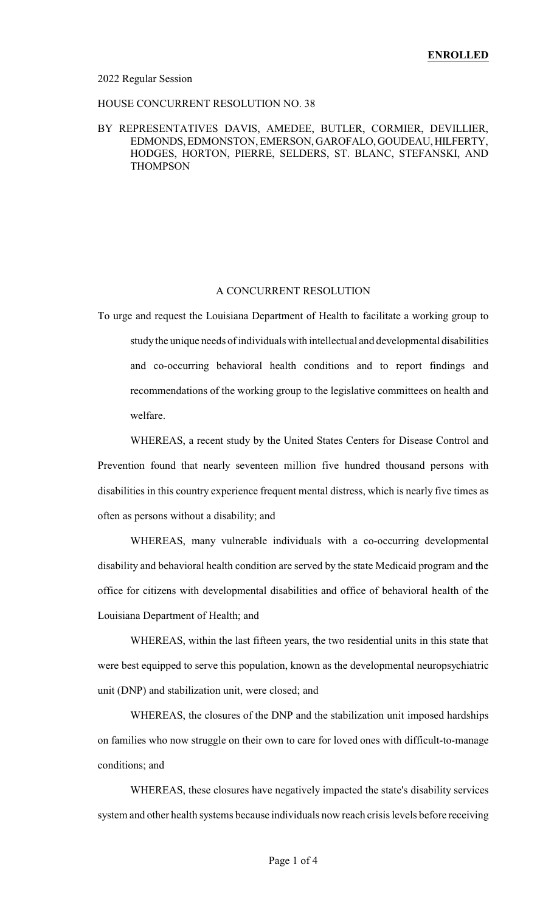#### 2022 Regular Session

## HOUSE CONCURRENT RESOLUTION NO. 38

## BY REPRESENTATIVES DAVIS, AMEDEE, BUTLER, CORMIER, DEVILLIER, EDMONDS,EDMONSTON, EMERSON,GAROFALO,GOUDEAU,HILFERTY, HODGES, HORTON, PIERRE, SELDERS, ST. BLANC, STEFANSKI, AND **THOMPSON**

### A CONCURRENT RESOLUTION

To urge and request the Louisiana Department of Health to facilitate a working group to studythe unique needs of individuals with intellectual and developmental disabilities and co-occurring behavioral health conditions and to report findings and recommendations of the working group to the legislative committees on health and welfare.

WHEREAS, a recent study by the United States Centers for Disease Control and Prevention found that nearly seventeen million five hundred thousand persons with disabilities in this country experience frequent mental distress, which is nearly five times as often as persons without a disability; and

WHEREAS, many vulnerable individuals with a co-occurring developmental disability and behavioral health condition are served by the state Medicaid program and the office for citizens with developmental disabilities and office of behavioral health of the Louisiana Department of Health; and

WHEREAS, within the last fifteen years, the two residential units in this state that were best equipped to serve this population, known as the developmental neuropsychiatric unit (DNP) and stabilization unit, were closed; and

WHEREAS, the closures of the DNP and the stabilization unit imposed hardships on families who now struggle on their own to care for loved ones with difficult-to-manage conditions; and

WHEREAS, these closures have negatively impacted the state's disability services system and other health systems because individuals now reach crisis levels before receiving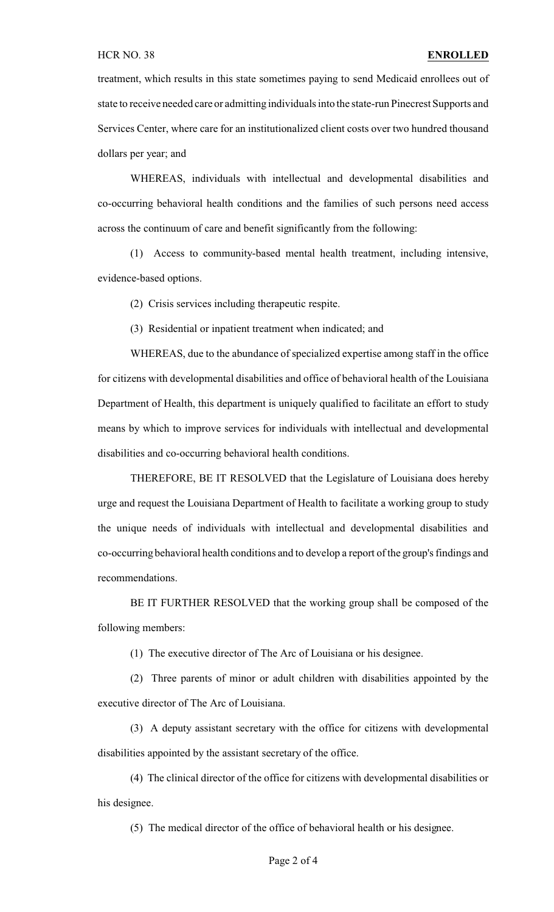treatment, which results in this state sometimes paying to send Medicaid enrollees out of state to receive needed care or admitting individuals into the state-run Pinecrest Supports and Services Center, where care for an institutionalized client costs over two hundred thousand dollars per year; and

WHEREAS, individuals with intellectual and developmental disabilities and co-occurring behavioral health conditions and the families of such persons need access across the continuum of care and benefit significantly from the following:

(1) Access to community-based mental health treatment, including intensive, evidence-based options.

(2) Crisis services including therapeutic respite.

(3) Residential or inpatient treatment when indicated; and

WHEREAS, due to the abundance of specialized expertise among staff in the office for citizens with developmental disabilities and office of behavioral health of the Louisiana Department of Health, this department is uniquely qualified to facilitate an effort to study means by which to improve services for individuals with intellectual and developmental disabilities and co-occurring behavioral health conditions.

THEREFORE, BE IT RESOLVED that the Legislature of Louisiana does hereby urge and request the Louisiana Department of Health to facilitate a working group to study the unique needs of individuals with intellectual and developmental disabilities and co-occurring behavioral health conditions and to develop a report of the group's findings and recommendations.

BE IT FURTHER RESOLVED that the working group shall be composed of the following members:

(1) The executive director of The Arc of Louisiana or his designee.

(2) Three parents of minor or adult children with disabilities appointed by the executive director of The Arc of Louisiana.

(3) A deputy assistant secretary with the office for citizens with developmental disabilities appointed by the assistant secretary of the office.

(4) The clinical director of the office for citizens with developmental disabilities or his designee.

(5) The medical director of the office of behavioral health or his designee.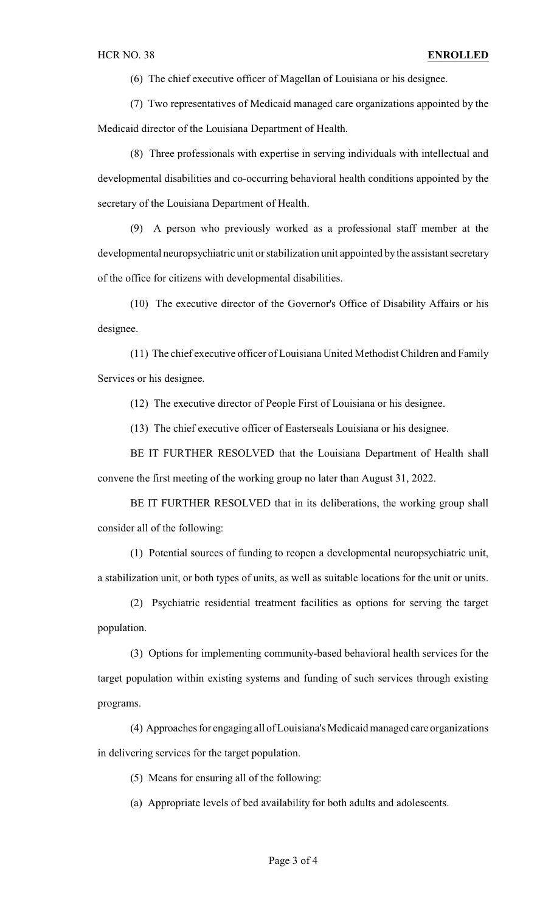(6) The chief executive officer of Magellan of Louisiana or his designee.

(7) Two representatives of Medicaid managed care organizations appointed by the Medicaid director of the Louisiana Department of Health.

(8) Three professionals with expertise in serving individuals with intellectual and developmental disabilities and co-occurring behavioral health conditions appointed by the secretary of the Louisiana Department of Health.

(9) A person who previously worked as a professional staff member at the developmental neuropsychiatric unit or stabilization unit appointed by the assistant secretary of the office for citizens with developmental disabilities.

(10) The executive director of the Governor's Office of Disability Affairs or his designee.

(11) The chief executive officer of Louisiana United Methodist Children and Family Services or his designee.

(12) The executive director of People First of Louisiana or his designee.

(13) The chief executive officer of Easterseals Louisiana or his designee.

BE IT FURTHER RESOLVED that the Louisiana Department of Health shall convene the first meeting of the working group no later than August 31, 2022.

BE IT FURTHER RESOLVED that in its deliberations, the working group shall consider all of the following:

(1) Potential sources of funding to reopen a developmental neuropsychiatric unit, a stabilization unit, or both types of units, as well as suitable locations for the unit or units.

(2) Psychiatric residential treatment facilities as options for serving the target population.

(3) Options for implementing community-based behavioral health services for the target population within existing systems and funding of such services through existing programs.

(4) Approaches for engaging all of Louisiana's Medicaid managed care organizations in delivering services for the target population.

(5) Means for ensuring all of the following:

(a) Appropriate levels of bed availability for both adults and adolescents.